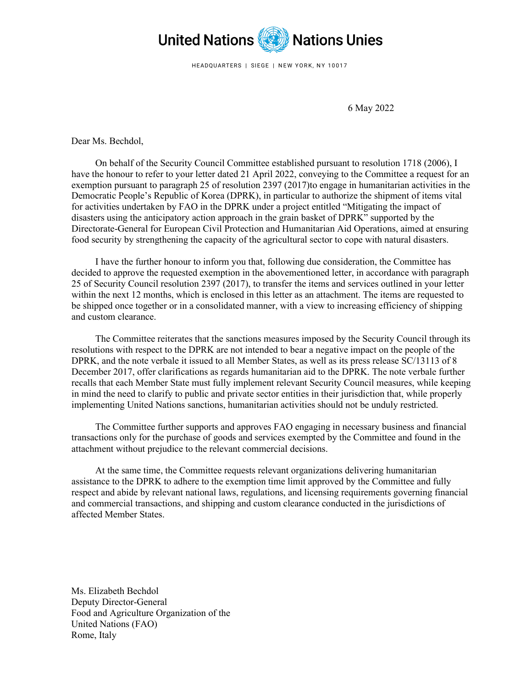

HEADQUARTERS | SIEGE | NEW YORK, NY 10017

6 May 2022

Dear Ms. Bechdol,

On behalf of the Security Council Committee established pursuant to resolution 1718 (2006), I have the honour to refer to your letter dated 21 April 2022, conveying to the Committee a request for an exemption pursuant to paragraph 25 of resolution 2397 (2017)to engage in humanitarian activities in the Democratic People's Republic of Korea (DPRK), in particular to authorize the shipment of items vital for activities undertaken by FAO in the DPRK under a project entitled "Mitigating the impact of disasters using the anticipatory action approach in the grain basket of DPRK" supported by the Directorate-General for European Civil Protection and Humanitarian Aid Operations, aimed at ensuring food security by strengthening the capacity of the agricultural sector to cope with natural disasters.

I have the further honour to inform you that, following due consideration, the Committee has decided to approve the requested exemption in the abovementioned letter, in accordance with paragraph 25 of Security Council resolution 2397 (2017), to transfer the items and services outlined in your letter within the next 12 months, which is enclosed in this letter as an attachment. The items are requested to be shipped once together or in a consolidated manner, with a view to increasing efficiency of shipping and custom clearance.

The Committee reiterates that the sanctions measures imposed by the Security Council through its resolutions with respect to the DPRK are not intended to bear a negative impact on the people of the DPRK, and the note verbale it issued to all Member States, as well as its press release SC/13113 of 8 December 2017, offer clarifications as regards humanitarian aid to the DPRK. The note verbale further recalls that each Member State must fully implement relevant Security Council measures, while keeping in mind the need to clarify to public and private sector entities in their jurisdiction that, while properly implementing United Nations sanctions, humanitarian activities should not be unduly restricted.

The Committee further supports and approves FAO engaging in necessary business and financial transactions only for the purchase of goods and services exempted by the Committee and found in the attachment without prejudice to the relevant commercial decisions.

At the same time, the Committee requests relevant organizations delivering humanitarian assistance to the DPRK to adhere to the exemption time limit approved by the Committee and fully respect and abide by relevant national laws, regulations, and licensing requirements governing financial and commercial transactions, and shipping and custom clearance conducted in the jurisdictions of affected Member States.

 Ms. Elizabeth Bechdol Deputy Director-General Food and Agriculture Organization of the United Nations (FAO) Rome, Italy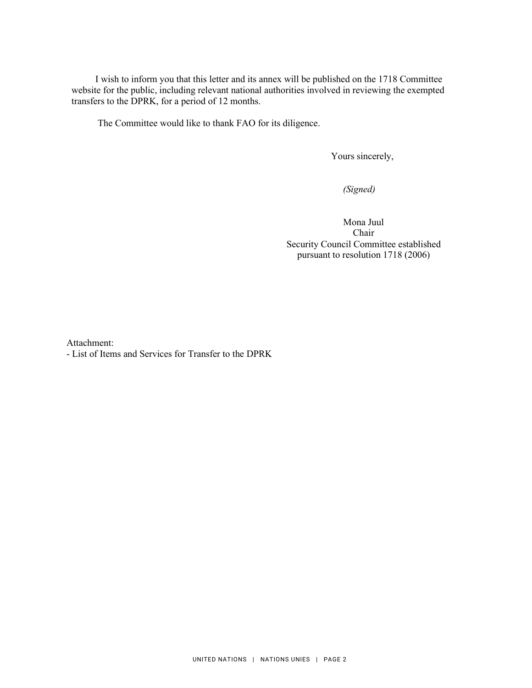I wish to inform you that this letter and its annex will be published on the 1718 Committee website for the public, including relevant national authorities involved in reviewing the exempted transfers to the DPRK, for a period of 12 months.

The Committee would like to thank FAO for its diligence.

Yours sincerely,

 *(Signed)* 

Mona Juul Chair Security Council Committee established pursuant to resolution 1718 (2006)

Attachment:

- List of Items and Services for Transfer to the DPRK